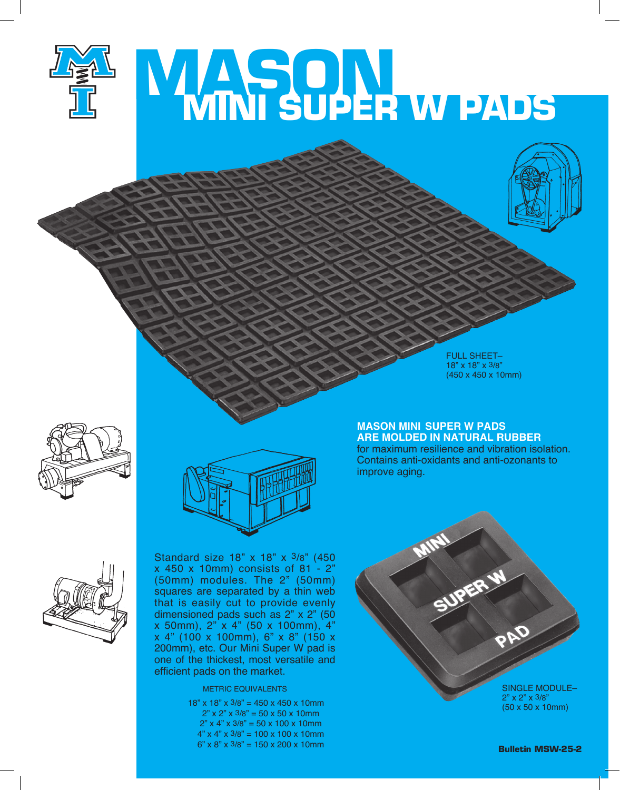

## **MASON MINI SUPER W PADS**



FULL SHEET– 18" x 18" x 3/8" (450 x 450 x 10mm)

## **MASON MINI SUPER W PADS ARE MOLDED IN Natural Rubber**

for maximum resilience and vibration isolation. Contains anti-oxidants and anti-ozonants to improve aging.





Standard size 18" x 18" x 3/8" (450 x 450 x 10mm) consists of 81 - 2" (50mm) modules. The 2" (50mm) squares are separated by a thin web that is easily cut to provide evenly dimensioned pads such as 2" x 2" (50  $x$  50mm), 2"  $x$  4" (50  $x$  100mm), 4" x 4" (100 x 100mm), 6" x 8" (150 x 200mm), etc. Our Mini Super W pad is one of the thickest, most versatile and efficient pads on the market.

## METRIC EQUIVALENTS

18" x 18" x 3/8" = 450 x 450 x 10mm  $2" \times 2" \times 3/8" = 50 \times 50 \times 10$  mm  $2"$  x 4" x 3/8" = 50 x 100 x 10mm  $4"$  x  $4"$  x  $3/8"$  = 100 x 100 x 10mm  $6" \times 8" \times 3/8" = 150 \times 200 \times 10$ mm SUPER W SINGLE MODULE– 2" x 2" x 3/8" (50 x 50 x 10mm)

**Bulletin MSW-25-2**